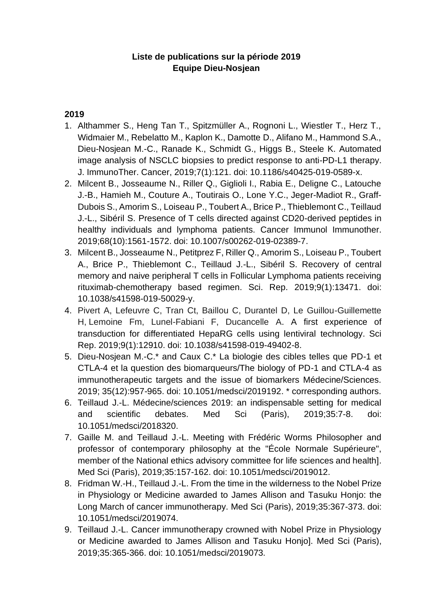## **Liste de publications sur la période 2019 Equipe Dieu-Nosjean**

## **2019**

- 1. Althammer S., Heng Tan T., Spitzmüller A., Rognoni L., Wiestler T., Herz T., Widmaier M., Rebelatto M., Kaplon K., Damotte D., Alifano M., Hammond S.A., Dieu-Nosjean M.-C., Ranade K., Schmidt G., Higgs B., Steele K. Automated image analysis of NSCLC biopsies to predict response to anti-PD-L1 therapy. J. ImmunoTher. Cancer, 2019;7(1):121. doi: 10.1186/s40425-019-0589-x.
- 2. Milcent B., Josseaume N., Riller Q., Giglioli I., Rabia E., Deligne C., Latouche J.-B., Hamieh M., Couture A., Toutirais O., Lone Y.C., Jeger-Madiot R., Graff-Dubois S., Amorim S., Loiseau P., Toubert A., Brice P., Thieblemont C., Teillaud J.-L., Sibéril S. [Presence of T cells directed against CD20-derived peptides in](https://www.ncbi.nlm.nih.gov/pubmed/31494742)  [healthy individuals and lymphoma patients.](https://www.ncbi.nlm.nih.gov/pubmed/31494742) Cancer Immunol Immunother. 2019;68(10):1561-1572. doi: 10.1007/s00262-019-02389-7.
- 3. Milcent B., Josseaume N., Petitprez F, Riller Q., Amorim S., Loiseau P., Toubert A., Brice P., Thieblemont C., Teillaud J.-L., Sibéril S. Recovery of central memory and naive peripheral T cells in Follicular Lymphoma patients receiving rituximab-chemotherapy based regimen. Sci. Rep. 2019;9(1):13471. doi: 10.1038/s41598-019-50029-y.
- 4. Pivert A, Lefeuvre C, Tran Ct, Baillou C, Durantel D, Le Guillou-Guillemette H, Lemoine Fm, Lunel-Fabiani F, Ducancelle A. A first experience of transduction for differentiated HepaRG cells using lentiviral technology. Sci Rep. 2019;9(1):12910. doi: 10.1038/s41598-019-49402-8.
- 5. Dieu-Nosjean M.-C.\* and Caux C.\* La biologie des cibles telles que PD-1 et CTLA-4 et la question des biomarqueurs/The biology of PD-1 and CTLA-4 as immunotherapeutic targets and the issue of biomarkers Médecine/Sciences. 2019; 35(12):957-965. doi: 10.1051/medsci/2019192. \* corresponding authors.
- 6. Teillaud J.-L. [Médecine/sciences 2019: an indispensable setting for medical](https://www.ncbi.nlm.nih.gov/pubmed/30672449)  [and scientific debates.](https://www.ncbi.nlm.nih.gov/pubmed/30672449) Med Sci (Paris), 2019;35:7-8. doi: 10.1051/medsci/2018320.
- 7. Gaille M. and Teillaud J.-L. [Meeting with Frédéric Worms Philosopher and](https://www.ncbi.nlm.nih.gov/pubmed/30774084)  [professor of contemporary philosophy at the "École Normale Supérieure",](https://www.ncbi.nlm.nih.gov/pubmed/30774084)  [member of the National ethics advisory committee for life sciences and health\].](https://www.ncbi.nlm.nih.gov/pubmed/30774084) Med Sci (Paris), 2019;35:157-162. doi: 10.1051/medsci/2019012.
- 8. Fridman W.-H., Teillaud J.-L. [From the time in the wilderness to the Nobel Prize](https://www.ncbi.nlm.nih.gov/pubmed/31038116)  [in Physiology or Medicine awarded to James Allison and Tasuku Honjo: the](https://www.ncbi.nlm.nih.gov/pubmed/31038116)  [Long March of cancer immunotherapy.](https://www.ncbi.nlm.nih.gov/pubmed/31038116) Med Sci (Paris), 2019;35:367-373. doi: 10.1051/medsci/2019074.
- 9. Teillaud J.-L. [Cancer immunotherapy crowned with Nobel Prize in Physiology](https://www.ncbi.nlm.nih.gov/pubmed/31038115)  [or Medicine awarded to James Allison and Tasuku Honjo\].](https://www.ncbi.nlm.nih.gov/pubmed/31038115) Med Sci (Paris), 2019;35:365-366. doi: 10.1051/medsci/2019073.